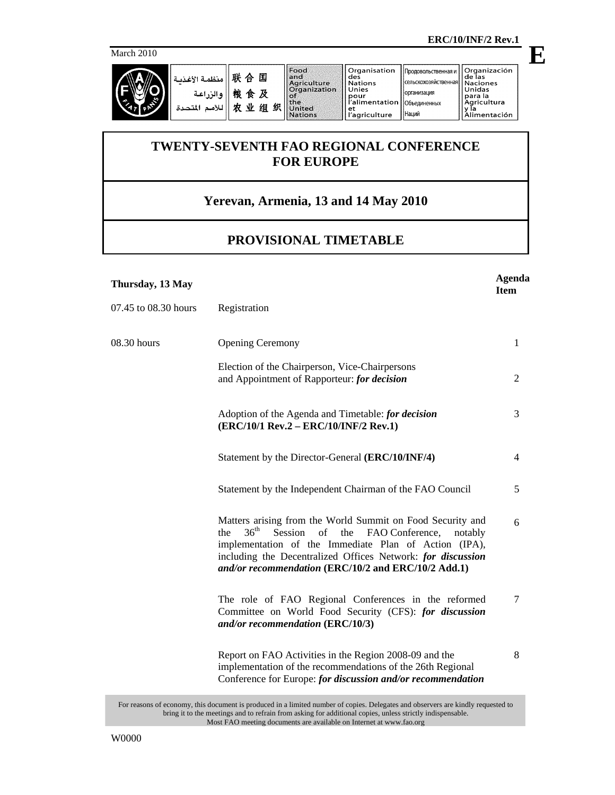March 2010



联合国 منظمة الأغذسة والزراعة 粮食及 للأمم المتحدة 农业组织 **E**

## **TWENTY-SEVENTH FAO REGIONAL CONFERENCE FOR EUROPE**

## **Yerevan, Armenia, 13 and 14 May 2010**

## **PROVISIONAL TIMETABLE**

| Thursday, 13 May     |                                                                                                                                                                                                                                                                                                                         | Agenda<br><b>Item</b> |
|----------------------|-------------------------------------------------------------------------------------------------------------------------------------------------------------------------------------------------------------------------------------------------------------------------------------------------------------------------|-----------------------|
| 07.45 to 08.30 hours | Registration                                                                                                                                                                                                                                                                                                            |                       |
| 08.30 hours          | <b>Opening Ceremony</b>                                                                                                                                                                                                                                                                                                 | 1                     |
|                      | Election of the Chairperson, Vice-Chairpersons<br>and Appointment of Rapporteur: for decision                                                                                                                                                                                                                           | $\overline{2}$        |
|                      | Adoption of the Agenda and Timetable: for decision<br>(ERC/10/1 Rev.2 - ERC/10/INF/2 Rev.1)                                                                                                                                                                                                                             | 3                     |
|                      | Statement by the Director-General (ERC/10/INF/4)                                                                                                                                                                                                                                                                        | 4                     |
|                      | Statement by the Independent Chairman of the FAO Council                                                                                                                                                                                                                                                                | 5                     |
|                      | Matters arising from the World Summit on Food Security and<br>36 <sup>th</sup><br>the<br>Session of<br>the<br>FAO Conference,<br>notably<br>implementation of the Immediate Plan of Action (IPA),<br>including the Decentralized Offices Network: for discussion<br>and/or recommendation (ERC/10/2 and ERC/10/2 Add.1) | 6                     |
|                      | The role of FAO Regional Conferences in the reformed<br>Committee on World Food Security (CFS): for discussion<br>and/or recommendation (ERC/10/3)                                                                                                                                                                      | 7                     |
|                      | Report on FAO Activities in the Region 2008-09 and the<br>implementation of the recommendations of the 26th Regional<br>Conference for Europe: for discussion and/or recommendation                                                                                                                                     | 8                     |
|                      | $\mathbf{1}$ $\mathbf{1}$ $\mathbf{1}$ $\mathbf{1}$ $\mathbf{1}$ $\mathbf{1}$ $\mathbf{1}$ $\mathbf{1}$ $\mathbf{1}$ $\mathbf{1}$ $\mathbf{1}$ $\mathbf{1}$                                                                                                                                                             |                       |

For reasons of economy, this document is produced in a limited number of copies. Delegates and observers are kindly requested to bring it to the meetings and to refrain from asking for additional copies, unless strictly indispensable. Most FAO meeting documents are available on Internet at www.fao.org